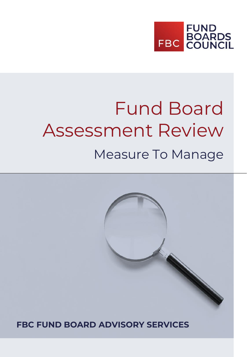

# Fund Board Assessment Review Measure To Manage

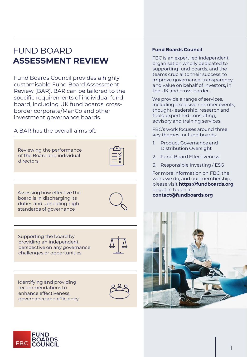# FUND BOARD **ASSESSMENT REVIEW**

Fund Boards Council provides a highly customisable Fund Board Assessment Review (BAR). BAR can be tailored to the specific requirements of individual fund board, including UK fund boards, crossborder corporate/ManCo and other investment governance boards.

A BAR has the overall aims of::



Assessing how effective the board is in discharging its duties and upholding high standards of governance



Supporting the board by providing an independent perspective on any governance challenges or opportunities





# **Fund Boards Council**

FBC is an expert led independent organisation wholly dedicated to supporting fund boards, and the teams crucial to their success, to improve governance, transparency and value on behalf of investors, in the UK and cross-border.

We provide a range of services, including exclusive member events, thought-leadership, research and tools, expert-led consulting, advisory and training services.

FBC's work focuses around three key themes for fund boards:

- 1. Product Governance and Distribution Oversight
- 2. Fund Board Effectiveness
- 3. Responsible Investing / ESG

For more information on FBC, the work we do, and our membership, please visit **https://fundboards.org**, or get in touch at **contact@fundboards.org**



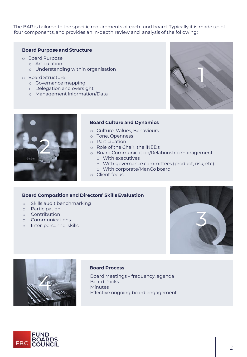The BAR is tailored to the specific requirements of each fund board. Typically it is made up of four components, and provides an in-depth review and analysis of the following:

## **Board Purpose and Structure**

- o Board Purpose
	- o Articulation
		- o Understanding within organisation
- o Board Structure
	- o Governance mapping
	- o Delegation and oversight
	- o Management Information/Data





#### **Board Culture and Dynamics**

- o Culture, Values, Behaviours
- o Tone, Openness
- o Participation
- o Role of the Chair, the iNEDs
- o Board Communication/Relationship management o With executives
	- o With governance committees (product, risk, etc)
	- o With corporate/ManCo board
- o Client focus

## **Board Composition and Directors' Skills Evaluation**

- o Skills audit benchmarking
- o Participation
- o Contribution
- o Communications
- o Inter-personnel skills





#### **Board Process**

Board Meetings – frequency, agenda Board Packs Effective ongoing board engagement

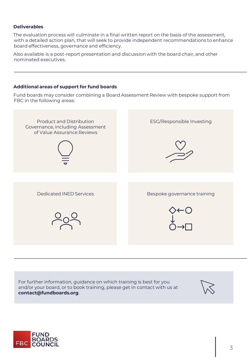# **Deliverables**

The evaluation process will culminate in a final written report on the basis of the assessment, with a detailed action plan, that will seek to provide independent recommendations to enhance board effectiveness, governance and efficiency.

Also available is a post-report presentation and discussion with the board chair, and other nominated executives.

# **Additional areas of support for fund boards**

Fund boards may consider combining a Board Assessment Review with bespoke support from FBC in the following areas:



For further information, guidance on which training is best for you and/or your board, or to book training, please get in contact with us at **contact@fundboards.org**.